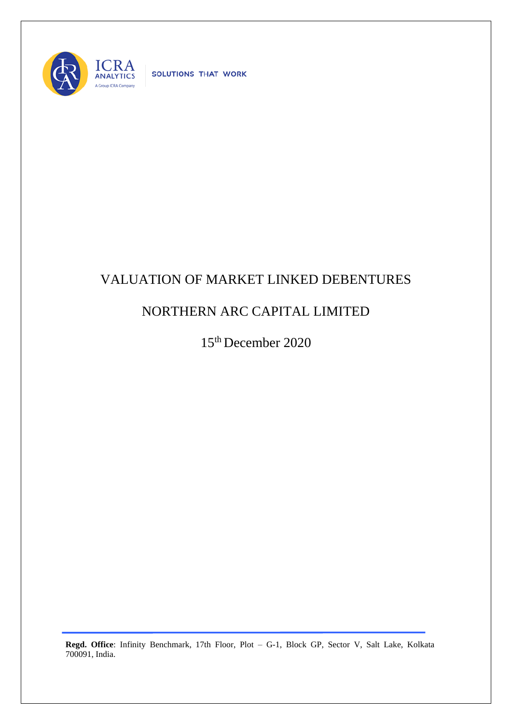

SOLUTIONS THAT WORK

## VALUATION OF MARKET LINKED DEBENTURES

## NORTHERN ARC CAPITAL LIMITED

15 th December 2020

**Regd. Office**: Infinity Benchmark, 17th Floor, Plot – G-1, Block GP, Sector V, Salt Lake, Kolkata 700091, India.